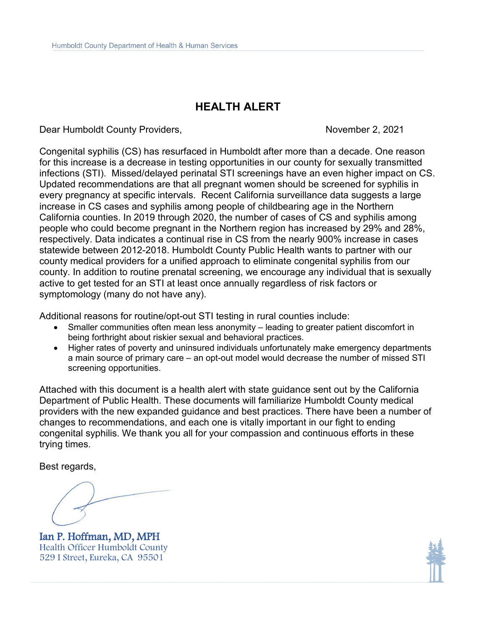## **HEALTH ALERT**

Dear Humboldt County Providers, November 2, 2021

Congenital syphilis (CS) has resurfaced in Humboldt after more than a decade. One reason for this increase is a decrease in testing opportunities in our county for sexually transmitted infections (STI). Missed/delayed perinatal STI screenings have an even higher impact on CS. Updated recommendations are that all pregnant women should be screened for syphilis in every pregnancy at specific intervals. Recent California surveillance data suggests a large increase in CS cases and syphilis among people of childbearing age in the Northern California counties. In 2019 through 2020, the number of cases of CS and syphilis among people who could become pregnant in the Northern region has increased by 29% and 28%, respectively. Data indicates a continual rise in CS from the nearly 900% increase in cases statewide between 2012-2018. Humboldt County Public Health wants to partner with our county medical providers for a unified approach to eliminate congenital syphilis from our county. In addition to routine prenatal screening, we encourage any individual that is sexually active to get tested for an STI at least once annually regardless of risk factors or symptomology (many do not have any).

Additional reasons for routine/opt-out STI testing in rural counties include:

- Smaller communities often mean less anonymity leading to greater patient discomfort in being forthright about riskier sexual and behavioral practices.
- Higher rates of poverty and uninsured individuals unfortunately make emergency departments a main source of primary care – an opt-out model would decrease the number of missed STI screening opportunities.

Attached with this document is a health alert with state guidance sent out by the California Department of Public Health. These documents will familiarize Humboldt County medical providers with the new expanded guidance and best practices. There have been a number of changes to recommendations, and each one is vitally important in our fight to ending congenital syphilis. We thank you all for your compassion and continuous efforts in these trying times.

Best regards,

Ian P. Hoffman, MD, MPH<br>Health Officer Humboldt County 529 I Street, Eureka, CA 95501

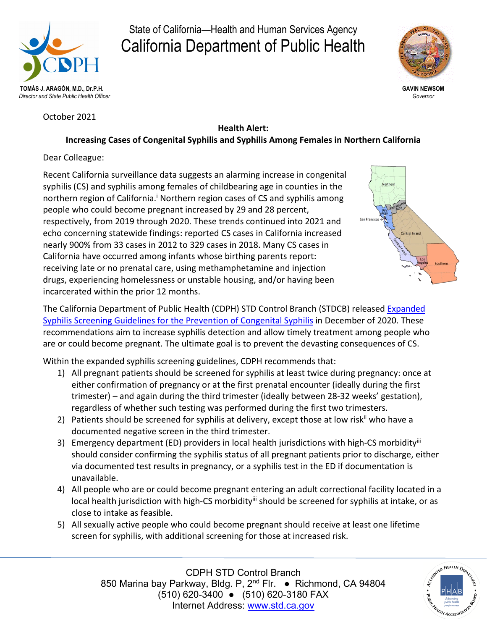

# State of California—Health and Human Services Agency California Department of Public Health



**GAVIN NEWSOM** *Governor*

October 2021

### **Health Alert:**

## **Increasing Cases of Congenital Syphilis and Syphilis Among Females in Northern California**

Dear Colleague:

Recent California surveillance data suggests an alarming increase in congenital syphilis (CS) and syphilis among females of childbearing age in counties in the northern region of California.<sup>i</sup> Northern region cases of CS and syphilis among people who could become pregnant increased by 29 and 28 percent, respectively, from 2019 through 2020. These trends continued into 2021 and echo concerning statewide findings: reported CS cases in California increased nearly 900% from 33 cases in 2012 to 329 cases in 2018. Many CS cases in California have occurred among infants whose birthing parents report: receiving late or no prenatal care, using methamphetamine and injection drugs, experiencing homelessness or unstable housing, and/or having been incarcerated within the prior 12 months.



The California Department of Public Health (CDPH) STD Control Branch (STDCB) released [Expanded](https://www.cdph.ca.gov/Programs/CID/DCDC/CDPH%20Document%20Library/Expanded-Syphilis-Screening-Recommendations.pdf)  [Syphilis Screening Guidelines for the Prevention of Congenital Syphilis](https://www.cdph.ca.gov/Programs/CID/DCDC/CDPH%20Document%20Library/Expanded-Syphilis-Screening-Recommendations.pdf) in December of 2020. These recommendations aim to increase syphilis detection and allow timely treatment among people who are or could become pregnant. The ultimate goal is to prevent the devasting consequences of CS.

Within the expanded syphilis screening guidelines, CDPH recommends that:

- 1) All pregnant patients should be screened for syphilis at least twice during pregnancy: once at either confirmation of pregnancy or at the first prenatal encounter (ideally during the first trimester) – and again during the third trimester (ideally between 28-32 weeks' gestation), regardless of whether such testing was performed during the first two trimesters.
- 2) Patients should be screened for syphilis at delivery, except those at low risk<sup>ii</sup> who have a documented negative screen in the third trimester.
- 3) Emergency department (ED) providers in local health jurisdictions with high-CS morbidity<sup>iii</sup> should consider confirming the syphilis status of all pregnant patients prior to discharge, either via documented test results in pregnancy, or a syphilis test in the ED if documentation is unavailable.
- 4) All people who are or could become pregnant entering an adult correctional facility located in a local health jurisdiction with high-CS morbidity<sup>iii</sup> should be screened for syphilis at intake, or as close to intake as feasible.
- 5) All sexually active people who could become pregnant should receive at least one lifetime screen for syphilis, with additional screening for those at increased risk.

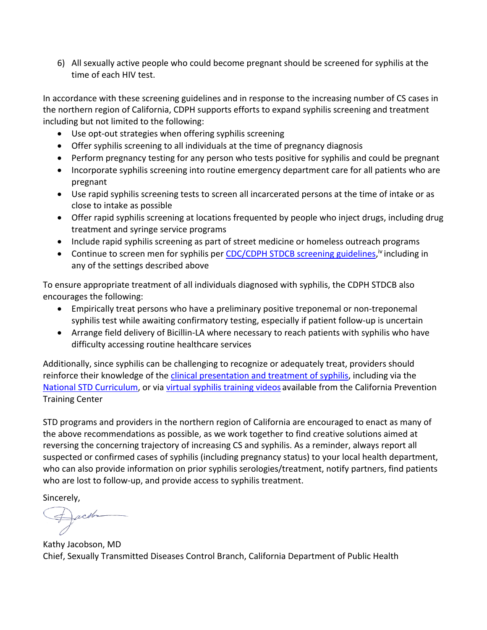6) All sexually active people who could become pregnant should be screened for syphilis at the time of each HIV test.

In accordance with these screening guidelines and in response to the increasing number of CS cases in the northern region of California, CDPH supports efforts to expand syphilis screening and treatment including but not limited to the following:

- Use opt-out strategies when offering syphilis screening
- Offer syphilis screening to all individuals at the time of pregnancy diagnosis
- Perform pregnancy testing for any person who tests positive for syphilis and could be pregnant
- Incorporate syphilis screening into routine emergency department care for all patients who are pregnant
- Use rapid syphilis screening tests to screen all incarcerated persons at the time of intake or as close to intake as possible
- Offer rapid syphilis screening at locations frequented by people who inject drugs, including drug treatment and syringe service programs
- Include rapid syphilis screening as part of street medicine or homeless outreach programs
- Continue to screen men for syphilis per [CDC/CDPH STDCB screening guidelines,](https://www.cdc.gov/std/treatment-guidelines/screening-recommendations.htm)<sup>iv</sup> including in any of the settings described above

To ensure appropriate treatment of all individuals diagnosed with syphilis, the CDPH STDCB also encourages the following:

- Empirically treat persons who have a preliminary positive treponemal or non-treponemal syphilis test while awaiting confirmatory testing, especially if patient follow-up is uncertain
- Arrange field delivery of Bicillin-LA where necessary to reach patients with syphilis who have difficulty accessing routine healthcare services

Additionally, since syphilis can be challenging to recognize or adequately treat, providers should reinforce their knowledge of the [clinical presentation and treatment of syphilis,](https://www.cdc.gov/std/syphilis/stdfact-syphilis-detailed.htm) including via the [National STD Curriculum,](https://www.std.uw.edu/custom/self-study/syphilis) or via [virtual syphilis training videos](https://californiaptc.com/online-learning/?_topics=congenital-syphilis%2Csyphilis&_training_types=webinar) available from the California Prevention Training Center

STD programs and providers in the northern region of California are encouraged to enact as many of the above recommendations as possible, as we work together to find creative solutions aimed at reversing the concerning trajectory of increasing CS and syphilis. As a reminder, always report all suspected or confirmed cases of syphilis (including pregnancy status) to your local health department, who can also provide information on prior syphilis serologies/treatment, notify partners, find patients who are lost to follow-up, and provide access to syphilis treatment.

Sincerely,

Dacoba

Kathy Jacobson, MD Chief, Sexually Transmitted Diseases Control Branch, California Department of Public Health